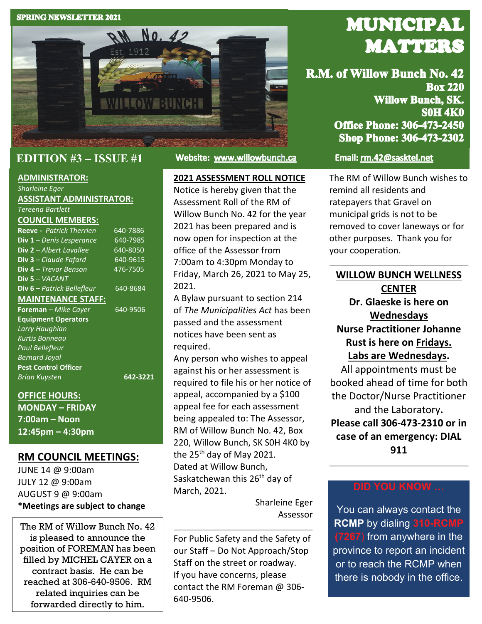#### **SPRING NEWSLETTER 2021**



### **EDITION #3 – ISSUE #1**

#### **ADMINISTRATOR:**

*Sharleine Eger* **ASSISTANT ADMINISTRATOR:**

### *Tereena Bartlett*

#### **COUNCIL MEMBERS:**

| 640-7886 |
|----------|
|          |
| 640-7985 |
| 640-8050 |
| 640-9615 |
| 476-7505 |
|          |
| 640-8684 |
|          |
| 640-9506 |
|          |
|          |
|          |
|          |
|          |
|          |
| 642-3221 |
|          |
|          |
|          |

**MONDAY – FRIDAY 7:00am – Noon 12:45pm – 4:30pm**

### **RM COUNCIL MEETINGS:**

JUNE 14 @ 9:00am JULY 12 @ 9:00am AUGUST 9 @ 9:00am **\*Meetings are subject to change**

The RM of Willow Bunch No. 42 is pleased to announce the position of FOREMAN has been filled by MICHEL CAYER on a contract basis. He can be reached at 306-640-9506. RM related inquiries can be forwarded directly to him.

Website: www.willowbunch.ca

### **2021 ASSESSMENT ROLL NOTICE**

Notice is hereby given that the Assessment Roll of the RM of Willow Bunch No. 42 for the year 2021 has been prepared and is now open for inspection at the office of the Assessor from 7:00am to 4:30pm Monday to Friday, March 26, 2021 to May 25, 2021.

A Bylaw pursuant to section 214 of *The Municipalities Act* has been passed and the assessment notices have been sent as required.

Any person who wishes to appeal against his or her assessment is required to file his or her notice of appeal, accompanied by a \$100 appeal fee for each assessment being appealed to: The Assessor, RM of Willow Bunch No. 42, Box 220, Willow Bunch, SK S0H 4K0 by the  $25<sup>th</sup>$  day of May 2021. Dated at Willow Bunch, Saskatchewan this 26<sup>th</sup> day of March, 2021.

> Sharleine Eger Assessor

For Public Safety and the Safety of our Staff – Do Not Approach/Stop Staff on the street or roadway. If you have concerns, please contact the RM Foreman @ 306- 640-9506.

# **MUNICIPAL MATTERS**

R.M. of Willow Bunch No. 42 **Box 220 Willow Bunch, SK. SOH 4K0 Office Phone: 306-473-2450 Shop Phone: 306-473-2302** 

### Email: rm.42@sasktel.net

The RM of Willow Bunch wishes to remind all residents and ratepayers that Gravel on municipal grids is not to be removed to cover laneways or for other purposes. Thank you for your cooperation.

### **WILLOW BUNCH WELLNESS CENTER**

**Dr. Glaeske is here on Wednesdays Nurse Practitioner Johanne Rust is here on Fridays. Labs are Wednesdays.**

All appointments must be booked ahead of time for both the Doctor/Nurse Practitioner and the Laboratory**. Please call 306-473-2310 or in case of an emergency: DIAL 911**

### **DID YOU KNOW …**

You can always contact the **RCMP** by dialing **310-RCMP (7267**) from anywhere in the province to report an incident or to reach the RCMP when there is nobody in the office.